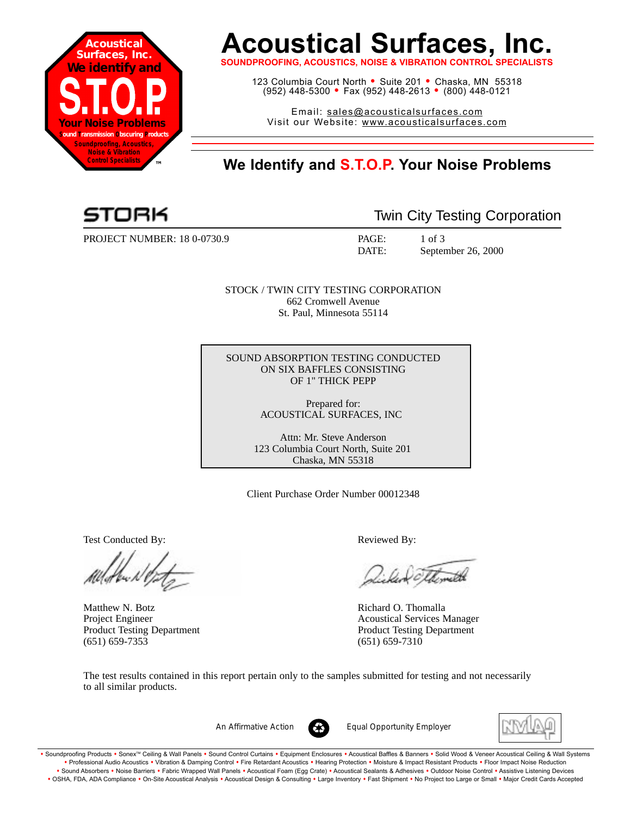

# **Acoustical Surfaces, Inc.**

**SOUNDPROOFING, ACOUSTICS, NOISE & VIBRATION CONTROL SF** 

123 Columbia Court North • Suite 201 • Chaska, MN 55318 (952) 448-5300 <sup>=</sup> Fax (952) 448-2613 <sup>=</sup> (800) 448-0121

Email: sales@acousticalsurfaces.com Visit our Website: www.acousticalsurfaces.com

## **™ We Identify and S.T.O.P. Your Noise Problems**

PROJECT NUMBER: 18 0-0730.9 PAGE: 1 of 3

Twin City Testing Corporation

DATE: September 26, 2000

STOCK / TWIN CITY TESTING CORPORATION 662 Cromwell Avenue St. Paul, Minnesota 55114

SOUND ABSORPTION TESTING CONDUCTED ON SIX BAFFLES CONSISTING OF 1" THICK PEPP

> Prepared for: ACOUSTICAL SURFACES, INC

Attn: Mr. Steve Anderson 123 Columbia Court North, Suite 201 Chaska, MN 55318

Client Purchase Order Number 00012348

Test Conducted By: Reviewed By:

Matthew N. Botz **Richard O. Thomalla** (651) 659-7353 (651) 659-7310

Voltmette

Project Engineer Acoustical Services Manager Product Testing Department Product Testing Department

The test results contained in this report pertain only to the samples submitted for testing and not necessarily to all similar products.



*An Affirmative Action Equal Opportunity Employer*



. Soundproofing Products . Sonex™ Ceiling & Wall Panels . Sound Control Curtains . Equipment Enclosures . Acoustical Baffles & Banners . Solid Wood & Veneer Acoustical Ceiling & Wall Systems **•** Professional Audio Acoustics **•** Vibration & Damping Control **•** Fire Retardant Acoustics **•** Hearing Protection **•** Moisture & Impact Resistant Products **•** Floor Impact Noise Reduction Sound Absorbers • Noise Barriers • Fabric Wrapped Wall Panels • Acoustical Foam (Egg Crate) • Acoustical Sealants & Adhesives • Outdoor Noise Control • Assistive Listening Devices . OSHA, FDA, ADA Compliance . On-Site Acoustical Analysis . Acoustical Design & Consulting . Large Inventory . Fast Shipment . No Project too Large or Small . Major Credit Cards Accepted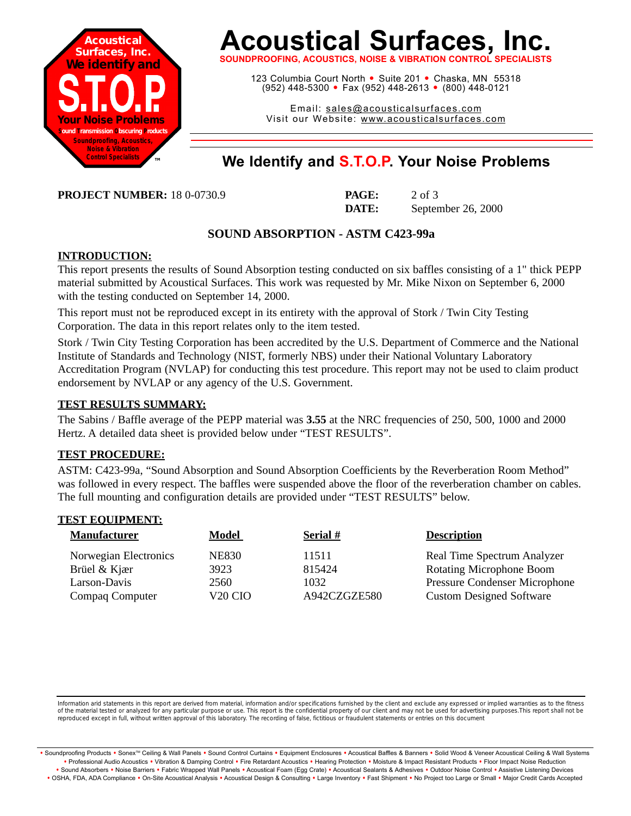

# **Acoustical Surfaces, Inc.**

**SOUNDPROOFING, ACOUSTICS, NOISE & VIBRATION CONTROL SPECIALISTS**

123 Columbia Court North · Suite 201 · Chaska, MN 55318 (952) 448-5300 <sup>=</sup> Fax (952) 448-2613 <sup>=</sup> (800) 448-0121

Email: sales@acousticalsurfaces.com Visit our Website: www.acousticalsurfaces.com

### **™ We Identify and S.T.O.P. Your Noise Problems**

**PROJECT NUMBER:** 18 0-0730.9

| <b>PAGE:</b> | $2$ of $3$         |
|--------------|--------------------|
| DATE:        | September 26, 2000 |

#### **SOUND ABSORPTION - ASTM C423-99a**

#### **INTRODUCTION:**

This report presents the results of Sound Absorption testing conducted on six baffles consisting of a 1" thick PEPP material submitted by Acoustical Surfaces. This work was requested by Mr. Mike Nixon on September 6, 2000 with the testing conducted on September 14, 2000.

This report must not be reproduced except in its entirety with the approval of Stork / Twin City Testing Corporation. The data in this report relates only to the item tested.

Stork / Twin City Testing Corporation has been accredited by the U.S. Department of Commerce and the National Institute of Standards and Technology (NIST, formerly NBS) under their National Voluntary Laboratory Accreditation Program (NVLAP) for conducting this test procedure. This report may not be used to claim product endorsement by NVLAP or any agency of the U.S. Government.

#### **TEST RESULTS SUMMARY:**

The Sabins / Baffle average of the PEPP material was **3.55** at the NRC frequencies of 250, 500, 1000 and 2000 Hertz. A detailed data sheet is provided below under "TEST RESULTS".

#### **TEST PROCEDURE:**

ASTM: C423-99a, "Sound Absorption and Sound Absorption Coefficients by the Reverberation Room Method" was followed in every respect. The baffles were suspended above the floor of the reverberation chamber on cables. The full mounting and configuration details are provided under "TEST RESULTS" below.

#### **TEST EQUIPMENT:**

| <b>Manufacturer</b>   | <b>Model</b>        | Serial #     | <b>Description</b>                   |
|-----------------------|---------------------|--------------|--------------------------------------|
| Norwegian Electronics | <b>NE830</b>        | 11511        | Real Time Spectrum Analyzer          |
| Brüel & Kjær          | 3923                | 815424       | <b>Rotating Microphone Boom</b>      |
| Larson-Davis          | 2560                | 1032         | <b>Pressure Condenser Microphone</b> |
| Compaq Computer       | V <sub>20</sub> CIO | A942CZGZE580 | <b>Custom Designed Software</b>      |

Information arid statements in this report are derived from material, information and/or specifications furnished by the client and exclude any expressed or implied warranties as to the fitness of the material tested or analyzed for any particular purpose or use. This report is the confidential property of our client and may not be used for advertising purposes.This report shall not be reproduced except in full, without written approval of this laboratory. The recording of false, fictitious or fraudulent statements or entries on this document

· Soundproofing Products · Sonex™ Ceiling & Wall Panels · Sound Control Curtains · Equipment Enclosures · Acoustical Baffles & Banners · Solid Wood & Veneer Acoustical Ceiling & Wall Systems **•** Professional Audio Acoustics **•** Vibration & Damping Control **•** Fire Retardant Acoustics **•** Hearing Protection **•** Moisture & Impact Resistant Products **•** Floor Impact Noise Reduction Sound Absorbers • Noise Barriers • Fabric Wrapped Wall Panels • Acoustical Foam (Egg Crate) • Acoustical Sealants & Adhesives • Outdoor Noise Control • Assistive Listening Devices . OSHA, FDA, ADA Compliance . On-Site Acoustical Analysis . Acoustical Design & Consulting . Large Inventory . Fast Shipment . No Project too Large or Small . Major Credit Cards Accepted